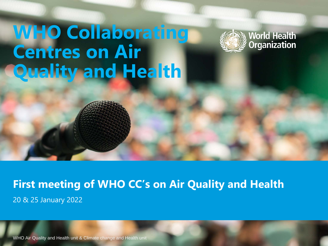# **WHO Collaborating Centres on Air Quality and Health**



**First meeting of WHO CC's on Air Quality and Health**  20 & 25 January 2022

WHO Air Quality and Health unit & Climate change and Health unit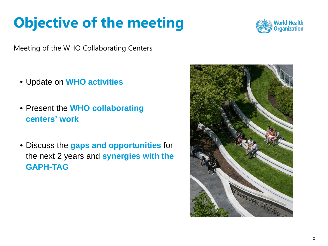# **Objective of the meeting**

Meeting of the WHO Collaborating Centers

- Update on **WHO activities**
- Present the **WHO collaborating centers' work**
- Discuss the **gaps and opportunities** for the next 2 years and **synergies with the GAPH-TAG**



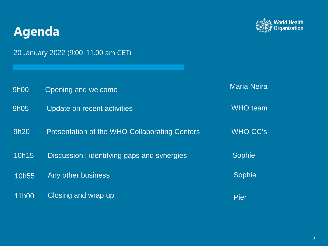### **Agenda**



20 January 2022 (9:00-11.00 am CET)

| 9h00  | Opening and welcome                           | <b>Maria Neira</b> |
|-------|-----------------------------------------------|--------------------|
| 9h05  | Update on recent activities                   | <b>WHO</b> team    |
| 9h20  | Presentation of the WHO Collaborating Centers | <b>WHO CC's</b>    |
| 10h15 | Discussion: identifying gaps and synergies    | <b>Sophie</b>      |
| 10h55 | Any other business                            | Sophie             |
| 11h00 | Closing and wrap up                           | <b>Pier</b>        |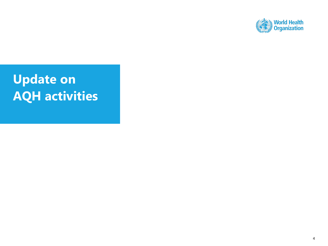

## **Update on AQH activities**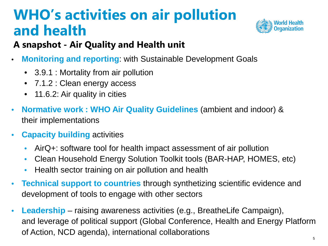# **WHO's activities on air pollution and health**



#### **A snapshot - Air Quality and Health unit**

- **Monitoring and reporting**: with Sustainable Development Goals
	- 3.9.1 : Mortality from air pollution
	- 7.1.2 : Clean energy access
	- 11.6.2: Air quality in cities
- **Normative work : WHO Air Quality Guidelines** (ambient and indoor) & their implementations
- **Capacity building** activities
	- AirQ+: software tool for health impact assessment of air pollution
	- Clean Household Energy Solution Toolkit tools (BAR-HAP, HOMES, etc)
	- Health sector training on air pollution and health
- **Technical support to countries** through synthetizing scientific evidence and development of tools to engage with other sectors
- **Leadership** raising awareness activities (e.g., BreatheLife Campaign), and leverage of political support (Global Conference, Health and Energy Platform of Action, NCD agenda), international collaborations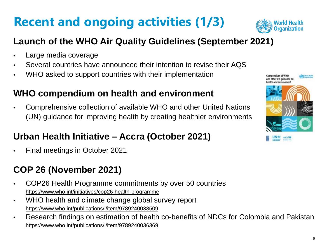# **Recent and ongoing activities (1/3)**



#### **Launch of the WHO Air Quality Guidelines (September 2021)**

- Large media coverage
- Several countries have announced their intention to revise their AQS
- WHO asked to support countries with their implementation

#### **WHO compendium on health and environment**

• Comprehensive collection of available WHO and other United Nations (UN) guidance for improving health by creating healthier environments

#### **Urban Health Initiative – Accra (October 2021)**

• Final meetings in October 2021

#### **COP 26 (November 2021)**

- COP26 Health Programme commitments by over 50 countries <https://www.who.int/initiatives/cop26-health-programme>
- WHO health and climate change global survey report <https://www.who.int/publications/i/item/9789240038509>
- Research findings on estimation of health co-benefits of NDCs for Colombia and Pakistan <https://www.who.int/publications/i/item/9789240036369>

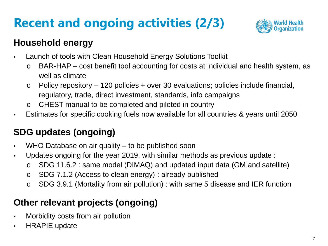# **Recent and ongoing activities (2/3)**



#### **Household energy**

- Launch of tools with Clean Household Energy Solutions Toolkit
	- o BAR-HAP cost benefit tool accounting for costs at individual and health system, as well as climate
	- $\circ$  Policy repository 120 policies + over 30 evaluations; policies include financial, regulatory, trade, direct investment, standards, info campaigns
	- o CHEST manual to be completed and piloted in country
- Estimates for specific cooking fuels now available for all countries & years until 2050

#### **SDG updates (ongoing)**

- WHO Database on air quality to be published soon
- Updates ongoing for the year 2019, with similar methods as previous update :
	- o SDG 11.6.2 : same model (DIMAQ) and updated input data (GM and satellite)
	- o SDG 7.1.2 (Access to clean energy) : already published
	- o SDG 3.9.1 (Mortality from air pollution) : with same 5 disease and IER function

#### **Other relevant projects (ongoing)**

- Morbidity costs from air pollution
- HRAPIE update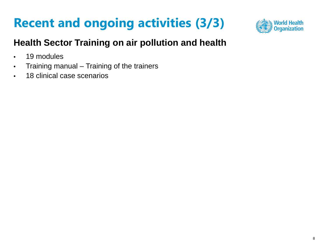## **Recent and ongoing activities (3/3)**



#### **Health Sector Training on air pollution and health**

- 19 modules
- Training manual Training of the trainers
- 18 clinical case scenarios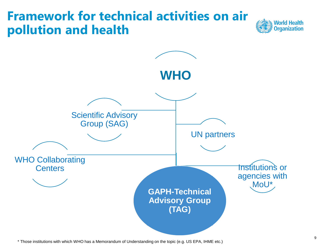### **Framework for technical activities on air pollution and health**





\* Those institutions with which WHO has a Memorandum of Understanding on the topic (e.g. US EPA, IHME etc.)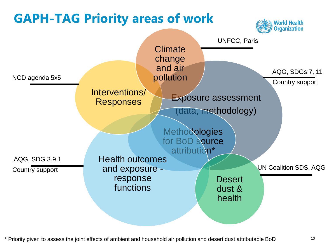

\* Priority given to assess the joint effects of ambient and household air pollution and desert dust attributable BoD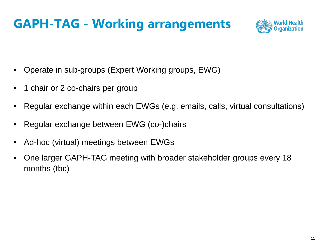### **GAPH-TAG - Working arrangements**



- Operate in sub-groups (Expert Working groups, EWG)
- 1 chair or 2 co-chairs per group
- Regular exchange within each EWGs (e.g. emails, calls, virtual consultations)
- Regular exchange between EWG (co-)chairs
- Ad-hoc (virtual) meetings between EWGs
- One larger GAPH-TAG meeting with broader stakeholder groups every 18 months (tbc)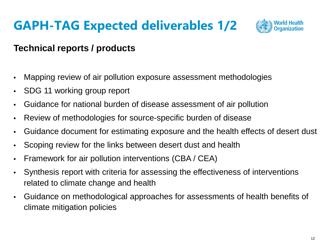## **GAPH-TAG Expected deliverables 1/2**



#### **Technical reports / products**

- Mapping review of air pollution exposure assessment methodologies
- SDG 11 working group report
- Guidance for national burden of disease assessment of air pollution
- Review of methodologies for source-specific burden of disease
- Guidance document for estimating exposure and the health effects of desert dust
- Scoping review for the links between desert dust and health
- Framework for air pollution interventions (CBA / CEA)
- Synthesis report with criteria for assessing the effectiveness of interventions related to climate change and health
- Guidance on methodological approaches for assessments of health benefits of climate mitigation policies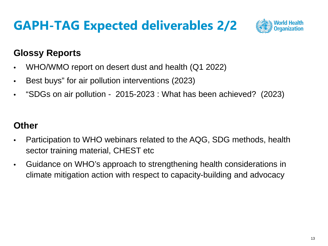### **GAPH-TAG Expected deliverables 2/2**



#### **Glossy Reports**

- WHO/WMO report on desert dust and health (Q1 2022)
- Best buys" for air pollution interventions (2023)
- "SDGs on air pollution 2015-2023 : What has been achieved? (2023)

#### **Other**

- Participation to WHO webinars related to the AQG, SDG methods, health sector training material, CHEST etc
- Guidance on WHO's approach to strengthening health considerations in climate mitigation action with respect to capacity-building and advocacy